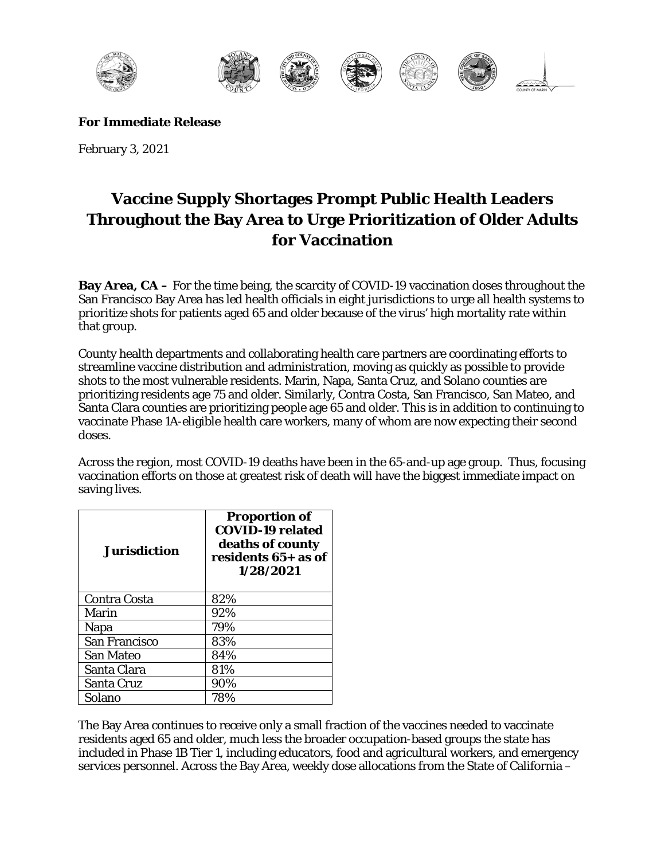

**For Immediate Release**

February 3, 2021

## **Vaccine Supply Shortages Prompt Public Health Leaders Throughout the Bay Area to Urge Prioritization of Older Adults for Vaccination**

**Bay Area, CA** – For the time being, the scarcity of COVID-19 vaccination doses throughout the San Francisco Bay Area has led health officials in eight jurisdictions to urge all health systems to prioritize shots for patients aged 65 and older because of the virus' high mortality rate within that group.

County health departments and collaborating health care partners are coordinating efforts to streamline vaccine distribution and administration, moving as quickly as possible to provide shots to the most vulnerable residents. Marin, Napa, Santa Cruz, and Solano counties are prioritizing residents age 75 and older. Similarly, Contra Costa, San Francisco, San Mateo, and Santa Clara counties are prioritizing people age 65 and older. This is in addition to continuing to vaccinate Phase 1A-eligible health care workers, many of whom are now expecting their second doses.

Across the region, most COVID-19 deaths have been in the 65-and-up age group. Thus, focusing vaccination efforts on those at greatest risk of death will have the biggest immediate impact on saving lives.

| <b>Jurisdiction</b>  | <b>Proportion of</b><br><b>COVID-19 related</b><br>deaths of county<br>residents 65+ as of<br>1/28/2021 |
|----------------------|---------------------------------------------------------------------------------------------------------|
| Contra Costa         | 82%                                                                                                     |
| Marin                | 92%                                                                                                     |
| Napa                 | 79%                                                                                                     |
| <b>San Francisco</b> | 83%                                                                                                     |
| <b>San Mateo</b>     | 84%                                                                                                     |
| Santa Clara          | 81%                                                                                                     |
| Santa Cruz           | 90%                                                                                                     |
| Solano               | 78%                                                                                                     |

The Bay Area continues to receive only a small fraction of the vaccines needed to vaccinate residents aged 65 and older, much less the broader occupation-based groups the state has included in Phase 1B Tier 1, including educators, food and agricultural workers, and emergency services personnel. Across the Bay Area, weekly dose allocations from the State of California –